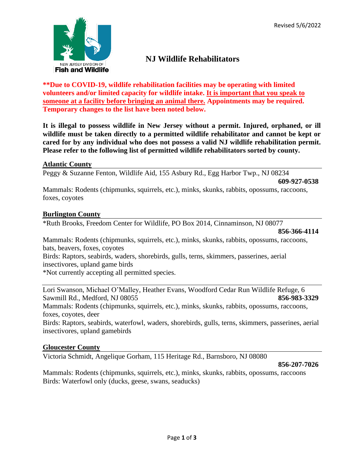

# **NJ Wildlife Rehabilitators**

**\*\*Due to COVID-19, wildlife rehabilitation facilities may be operating with limited volunteers and/or limited capacity for wildlife intake. It is important that you speak to someone at a facility before bringing an animal there. Appointments may be required. Temporary changes to the list have been noted below.**

**It is illegal to possess wildlife in New Jersey without a permit. Injured, orphaned, or ill wildlife must be taken directly to a permitted wildlife rehabilitator and cannot be kept or cared for by any individual who does not possess a valid NJ wildlife rehabilitation permit. Please refer to the following list of permitted wildlife rehabilitators sorted by county.**

# **Atlantic County**

Peggy & Suzanne Fenton, Wildlife Aid, 155 Asbury Rd., Egg Harbor Twp., NJ 08234

**609-927-0538**

Mammals: Rodents (chipmunks, squirrels, etc.), minks, skunks, rabbits, opossums, raccoons, foxes, coyotes

# **Burlington County**

\*Ruth Brooks, Freedom Center for Wildlife, PO Box 2014, Cinnaminson, NJ 08077

**856-366-4114**

Mammals: Rodents (chipmunks, squirrels, etc.), minks, skunks, rabbits, opossums, raccoons, bats, beavers, foxes, coyotes

Birds: Raptors, seabirds, waders, shorebirds, gulls, terns, skimmers, passerines, aerial insectivores, upland game birds

\*Not currently accepting all permitted species.

Lori Swanson, Michael O'Malley, Heather Evans, Woodford Cedar Run Wildlife Refuge, 6 Sawmill Rd., Medford, NJ 08055 **856-983-3329**

Mammals: Rodents (chipmunks, squirrels, etc.), minks, skunks, rabbits, opossums, raccoons, foxes, coyotes, deer

Birds: Raptors, seabirds, waterfowl, waders, shorebirds, gulls, terns, skimmers, passerines, aerial insectivores, upland gamebirds

# **Gloucester County**

Victoria Schmidt, Angelique Gorham, 115 Heritage Rd., Barnsboro, NJ 08080

**856-207-7026**

Mammals: Rodents (chipmunks, squirrels, etc.), minks, skunks, rabbits, opossums, raccoons Birds: Waterfowl only (ducks, geese, swans, seaducks)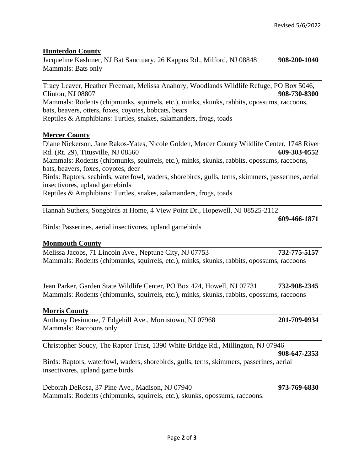# **Hunterdon County**

Jacqueline Kashmer, NJ Bat Sanctuary, 26 Kappus Rd., Milford, NJ 08848 **908-200-1040** Mammals: Bats only

Tracy Leaver, Heather Freeman, Melissa Anahory, Woodlands Wildlife Refuge, PO Box 5046, Clinton, NJ 08807 **908-730-8300** Mammals: Rodents (chipmunks, squirrels, etc.), minks, skunks, rabbits, opossums, raccoons, bats, beavers, otters, foxes, coyotes, bobcats, bears Reptiles & Amphibians: Turtles, snakes, salamanders, frogs, toads

### **Mercer County**

Diane Nickerson, Jane Rakos-Yates, Nicole Golden, Mercer County Wildlife Center, 1748 River Rd. (Rt. 29), Titusville, NJ 08560 **609-303-0552** Mammals: Rodents (chipmunks, squirrels, etc.), minks, skunks, rabbits, opossums, raccoons, bats, beavers, foxes, coyotes, deer Birds: Raptors, seabirds, waterfowl, waders, shorebirds, gulls, terns, skimmers, passerines, aerial insectivores, upland gamebirds Reptiles & Amphibians: Turtles, snakes, salamanders, frogs, toads

Hannah Suthers, Songbirds at Home, 4 View Point Dr., Hopewell, NJ 08525-2112

**609-466-1871**

Birds: Passerines, aerial insectivores, upland gamebirds

#### **Monmouth County**

Melissa Jacobs, 71 Lincoln Ave., Neptune City, NJ 07753 **732-775-5157** Mammals: Rodents (chipmunks, squirrels, etc.), minks, skunks, rabbits, opossums, raccoons

Jean Parker, Garden State Wildlife Center, PO Box 424, Howell, NJ 07731 **732-908-2345** Mammals: Rodents (chipmunks, squirrels, etc.), minks, skunks, rabbits, opossums, raccoons

#### **Morris County**

Anthony Desimone, 7 Edgehill Ave., Morristown, NJ 07968 **201-709-0934** Mammals: Raccoons only

Christopher Soucy, The Raptor Trust, 1390 White Bridge Rd., Millington, NJ 07946

**908-647-2353**

Birds: Raptors, waterfowl, waders, shorebirds, gulls, terns, skimmers, passerines, aerial insectivores, upland game birds

Deborah DeRosa, 37 Pine Ave., Madison, NJ 07940 **973-769-6830** Mammals: Rodents (chipmunks, squirrels, etc.), skunks, opossums, raccoons.